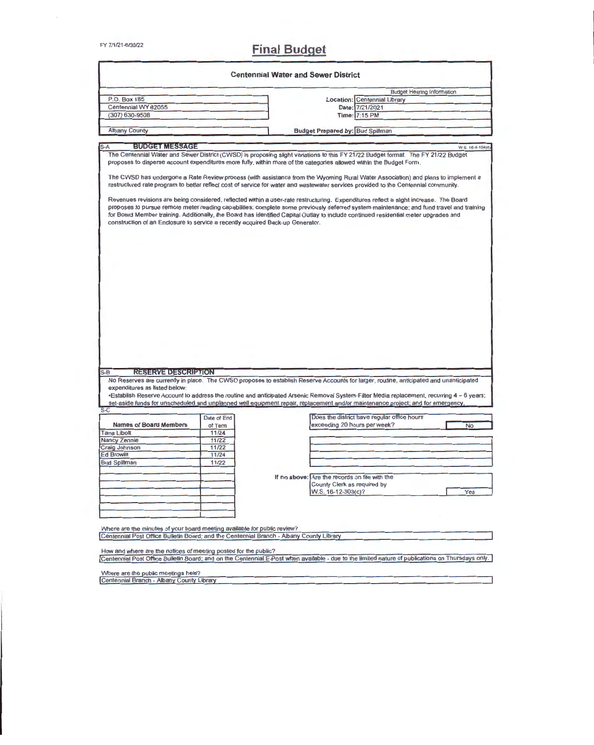# **FY 7/1/21-6/30/22 Final Budget**

|                                                                                                                   |             | <b>Centennial Water and Sewer District</b>                                                                                                                                                                                                                                          |
|-------------------------------------------------------------------------------------------------------------------|-------------|-------------------------------------------------------------------------------------------------------------------------------------------------------------------------------------------------------------------------------------------------------------------------------------|
|                                                                                                                   |             | <b>Budget Hearing Information</b>                                                                                                                                                                                                                                                   |
| P.O. Box 185                                                                                                      |             | Location: Centennial Library                                                                                                                                                                                                                                                        |
| Centennial WY 82055                                                                                               |             | Date: 7/21/2021                                                                                                                                                                                                                                                                     |
| $(307) 630 - 9508$                                                                                                |             | Time: 7:15 PM                                                                                                                                                                                                                                                                       |
|                                                                                                                   |             |                                                                                                                                                                                                                                                                                     |
| <b>Albany County</b>                                                                                              |             | <b>Budget Prepared by: Bud Spillman</b>                                                                                                                                                                                                                                             |
| <b>BUDGET MESSAGE</b><br>$S-A$                                                                                    |             | W S. 16-4-104(d)                                                                                                                                                                                                                                                                    |
|                                                                                                                   |             | The Centennial Water and Sewer District (CWSD) is proposing slight variations to this FY 21/22 Budget format. The FY 21/22 Budget                                                                                                                                                   |
|                                                                                                                   |             | proposes to disperse account expenditures more fully, within more of the categories allowed within the Budget Form.                                                                                                                                                                 |
|                                                                                                                   |             | The CWSD has undergone a Rate Review process (with assistance from the Wyoming Rural Water Association) and plans to implement a<br>restructured rate program to better reflect cost of service for water and wastewater services provided to the Centennial community.             |
| construction of an Enclosure to service a recently acquired Back-up Generator.                                    |             | proposes to pursue remote meter reading capabilities; complete some previously deferred system maintenance; and fund travel and training<br>for Board Member training. Additionally, the Board has identified Capital Outlay to include continued residential meter upgrades and    |
|                                                                                                                   |             |                                                                                                                                                                                                                                                                                     |
| <b>RESERVE DESCRIPTION</b><br>expenditures as listed below:                                                       |             | No Reserves are currently in place. The CWSD proposes to establish Reserve Accounts for larger, routine, anticipated and unanticipated<br>•Establish Reserve Account to address the routine and anticipated Arsenic Removal System-Filter Media replacement, recurring 4 - 6 years; |
|                                                                                                                   |             | set-aside funds for unscheduled and unplanned well equipment repair, replacement and/or maintenance project; and for emergency,                                                                                                                                                     |
|                                                                                                                   | Date of End | Does the district have regular office hours                                                                                                                                                                                                                                         |
| <b>Names of Board Members</b>                                                                                     | of Term     | exceeding 20 hours per week?<br><b>No</b>                                                                                                                                                                                                                                           |
|                                                                                                                   | 11/24       |                                                                                                                                                                                                                                                                                     |
|                                                                                                                   | 11/22       |                                                                                                                                                                                                                                                                                     |
|                                                                                                                   | 11/22       |                                                                                                                                                                                                                                                                                     |
|                                                                                                                   | 11/24       |                                                                                                                                                                                                                                                                                     |
|                                                                                                                   | 11/22       |                                                                                                                                                                                                                                                                                     |
|                                                                                                                   |             |                                                                                                                                                                                                                                                                                     |
|                                                                                                                   |             | If no above: Are the records on file with the                                                                                                                                                                                                                                       |
|                                                                                                                   |             | County Clerk as required by                                                                                                                                                                                                                                                         |
|                                                                                                                   |             | Yes<br>W.S. 16-12-303(c)?                                                                                                                                                                                                                                                           |
|                                                                                                                   |             |                                                                                                                                                                                                                                                                                     |
|                                                                                                                   |             |                                                                                                                                                                                                                                                                                     |
| $S-B$<br>$S-C$<br><b>Tana Libolt</b><br>Nancy Zennie<br>Craig Johnson<br><b>Ed Browitt</b><br><b>Bud Spillman</b> |             |                                                                                                                                                                                                                                                                                     |
|                                                                                                                   |             |                                                                                                                                                                                                                                                                                     |
| Where are the minutes of your board meeting available for public review?                                          |             |                                                                                                                                                                                                                                                                                     |
| Centennial Post Office Bulletin Board; and the Centennial Branch - Albany County Library                          |             |                                                                                                                                                                                                                                                                                     |
| How and where are the notices of meeting posted for the public?                                                   |             |                                                                                                                                                                                                                                                                                     |

Where are the public meetings held?<br>Centennial Branch - Albany County Library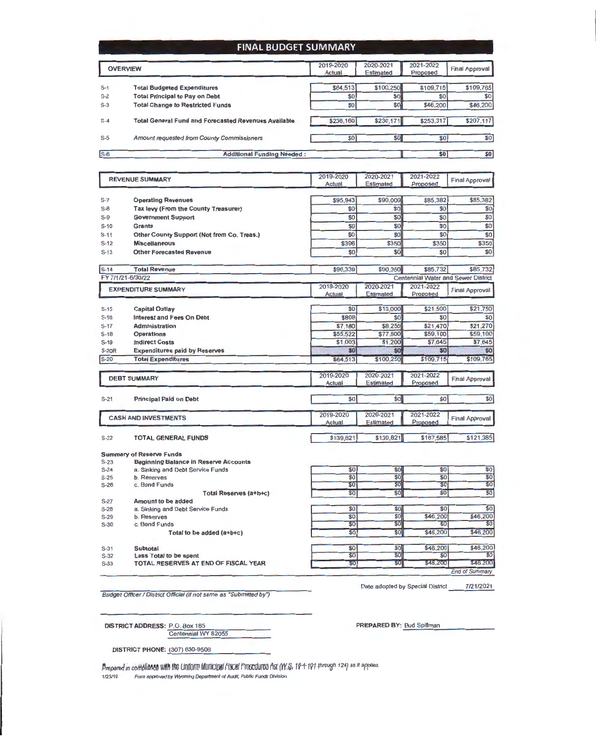#### **FINAl BUDGET SUMMARY**

|       | <b>OVERVIEW</b>                                             | 2019-2020<br>Actual | 2020-2021<br>Estimated | 2021-2022<br>Proposed | <b>Final Approval</b> |
|-------|-------------------------------------------------------------|---------------------|------------------------|-----------------------|-----------------------|
| $S-1$ | <b>Total Budgeted Expenditures</b>                          | \$64,513            | \$100,250              | \$109,715             | \$109,765             |
| $S-2$ | <b>Total Principal to Pay on Debt</b>                       | \$0                 | \$0                    | \$0                   | \$0                   |
| $S-3$ | <b>Total Change to Restricted Funds</b>                     | \$0                 | \$0]                   | \$46,200              | \$46,200              |
| $S-4$ | <b>Total General Fund and Forecasted Revenues Available</b> | \$236,160           | \$230,171              | \$253,317             | \$207,117             |
| $S-5$ | Amount requested from County Commissioners                  | \$0                 | \$O                    | <b>\$0 </b>           | \$0                   |
| ls-6  | <b>Additional Funding Needed:</b>                           |                     |                        | \$0                   | \$0                   |

#### 2019-2020 2020-2021 2021-2022 REVENUE SUMMARY **Final Approval** Actual Estimated Proposed S-7 Operating Revenues \$95,943 \$90,000 \$85,382 \$85,382 S-8 Tax levy (From the County Treasurer)<br>S-9 Government Support  $$0 \quad $6 \quad $80$ Government Support \$0 \$0 \$0 \$0 S-10 Grants  $$0$   $$0$   $$0$   $$0$   $$0$ S-11 Other County Support (Not from Co. Treas.)  $$0$   $$0$   $$0$   $$0$   $$0$ S-12 Miscellaneous \$396 \$350 \$350 \$350 S-13 Other Forecasted Revenue  $$0]$   $$0]$   $$0]$   $$0]$   $$0]$ S-14 Total Revenue \$96,3391 \$90,350 \$85,732 \$85,732 FY 7/1/21 -6/30/22 **Centennial Water and Sewer District** 2019-2020 2021-2022 2020-2021 EXPENDITURE SUMMARY **Final Approval** Actual Estimated Proposed \$0 \$13,000 \$21,500 \$21,750 S-15 Capital Outlay S-16 Interest and Fees On Debt<br>S-17 Administration \$808 \$0 \$0 \$0 \$0 S-17 **Administration**<br>S-18 **Operations** \$7,180 \$8,250 \$21,470 \$21,270<br>\$55,522 \$77,800 \$59,100 \$59,100 \$55,522 \$77,800 \$59,100 \$59,100<br>\$1,003 \$1,200 \$7,645 \$7,645 **Operations** S-19 Indirect Costs<br>S-20R Expenditures \$1,003 \$1,200 \$7,645 \$7,645 S-20R Expenditures paid by Reserves<br>S-20 Total Expenditures \$0 \$0 \$0 \$0 **Total Expenditures** \$64,513 \$100,250 \$109,715 \$109,765 2019-2020 2020-2021 2021-2022 DEBT SUMMARY **Final Approval** Actual Estimated Proposed S-21 Principal Paid on Debt  $50$  $\overline{\text{SO}}$  $50$  $50$ 2019-2020 2020-2021 2021-2022 CASH AND INVESTMENTS **Final Approval** Estimated Proposed Actual S-22 TOTAL GENERAL FUNDS \$139,821  $$139,821$  $$167,585$  $$121,385$ **Summary of Reserve Funds Beginning Balance in Reserve Accounts** S-24 a. Sinking and Debt Service Funds \$0 \$0 \$0 \$0 \$0 S-25 b. Reserves<br>S-26 c. Bond Fun \$0 \$0 \$0 \$0 c. Bond Funds  $$0$   $$0$   $$0$   $$0$ Total Reserves (a+b+c) \$0 \$0 \$0 \$0 \$0 S-27 **Amount to be added**<br>S-28 **a.** Sinking and Debt Se S-28 a. Sinking and Debt Service Funds<br>S-29 b. Reserves \$0 \$0 \$0 \$0 \$0 S-29 b. Reserves<br>S-30 c. Bond Fun \$0 \$0 \$46,200 \$46,200<br>\$0 \$0 \$0 \$0 \$0 c. Bond Funds  $$0 \quad $60$  \$0 \$0 \$0 \$0 \$46,200 \$46,200 Total to be added (a+b+c)

S-31 S-32 S-33 Subtotal Less Total to be spent TOTAL RESERVES AT END OF FISCAL YEAR

Date adopted by Special District \_\_ 7/21/2021

\$46,200

 $$0$ 

\$46,200

 $\overline{\$0}$ 

 $$46,200$   $$46,200$ End of Summary

Budget Officer / District Official (if not same as "Submitted by")

DISTRICT ADDRESS: P.O. Box 185 Centennial WY 82055 PREPARED BY: Bud Spillman

 $\overline{\mathcal{S}^0}$ 

 $\overline{\$0}$ 

 $$0$ 

 $\overline{30}$ 

 $\overline{\$0}$ 

 $$0$ 

DISTRICT PHONE: (307) 630-9508

Prepared in compliance with the Uniform Municipal Fiscal Procedures Act (W.S. 16-4-191 through 124) as it applies. **1/23/19 Form approved by Wyoming Department of Audit, Public Funds Division**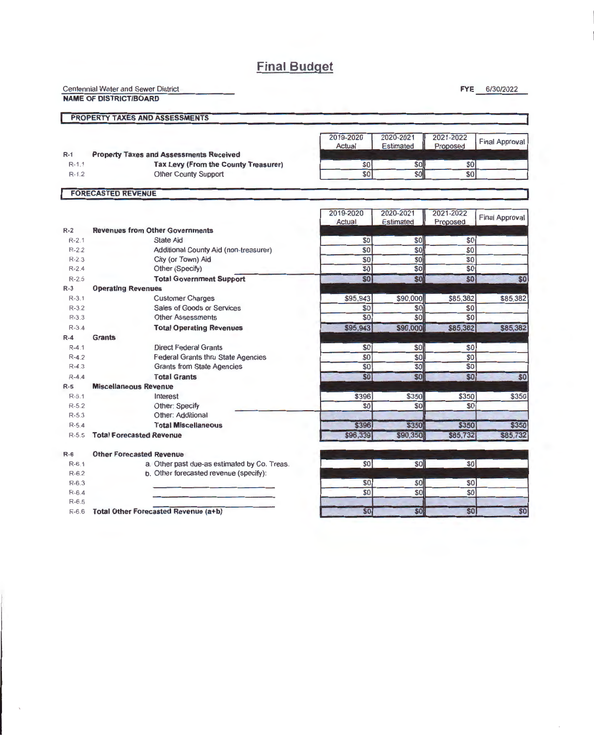## **Final Budget**

Centennial Water and Sewer District

**NAME OF DISTRICT/BOARD** 

**FYE** 6/30/2022

### **PROPERTY TAXES AND ASSESSMENTS**

|           |                                                | ZU 19-ZUZU<br>Actual | ZUZU-ZUZ I<br>Estimated | ZUZ I-ZUZZ<br>Proposed | Final Approval |
|-----------|------------------------------------------------|----------------------|-------------------------|------------------------|----------------|
| $R-1$     | <b>Property Taxes and Assessments Received</b> |                      |                         |                        |                |
| $R-1.1$   | <b>Tax Levy (From the County Treasurer)</b>    |                      | soll                    | \$0 <sub>1</sub>       |                |
| $R - 1.2$ | <b>Other County Support</b>                    |                      |                         |                        |                |
|           | <b>FORECASTED REVENUE</b>                      |                      |                         |                        |                |

|           |                                              | 2019-2020<br>Actual | 2020-2021<br><b>Estimated</b> | 2021-2022<br>Proposed | <b>Final Approval</b> |
|-----------|----------------------------------------------|---------------------|-------------------------------|-----------------------|-----------------------|
| $R-2$     | <b>Revenues from Other Governments</b>       |                     |                               |                       |                       |
| $R-2.1$   | <b>State Aid</b>                             | \$0                 | \$0                           | \$0                   |                       |
| $R-2.2$   | Additional County Aid (non-treasurer)        | \$0                 | \$0                           | $\overline{\$0}$      |                       |
| $R-2.3$   | City (or Town) Aid                           | \$0                 | \$0                           | \$0                   |                       |
| $R-2.4$   | Other (Specify)                              | \$0                 | \$0                           | \$0                   |                       |
| $R-2.5$   | <b>Total Government Support</b>              | \$0 <sub>1</sub>    | \$0                           | \$0                   | \$0                   |
| $R-3$     | <b>Operating Revenues</b>                    |                     |                               |                       |                       |
| $R-3.1$   | <b>Customer Charges</b>                      | \$95,943            | \$90,000                      | \$85,382              | \$85,382              |
| $R - 3.2$ | Sales of Goods or Services                   | \$0                 | \$0                           | \$0                   |                       |
| $R-3.3$   | <b>Other Assessments</b>                     | \$0                 | \$0                           | \$0                   |                       |
| $R - 3.4$ | <b>Total Operating Revenues</b>              | \$95,943            | \$90,000                      | \$85,382              | \$85,382              |
| $R-4$     | <b>Grants</b>                                |                     |                               |                       |                       |
| $R - 4.1$ | <b>Direct Federal Grants</b>                 | \$0                 | \$0                           | \$0                   |                       |
| $R-4.2$   | <b>Federal Grants thru State Agencies</b>    | \$0                 | \$0                           | \$0                   |                       |
| $R-4.3$   | <b>Grants from State Agencies</b>            | \$0                 | \$0                           | \$0                   |                       |
| $R-4.4$   | <b>Total Grants</b>                          | \$0                 | \$0                           | \$0                   | \$0                   |
| $R-5$     | <b>Miscellaneous Revenue</b>                 |                     |                               |                       |                       |
| $R-5.1$   | Interest                                     | \$396               | \$350                         | \$350                 | \$350                 |
| $R-5.2$   | Other: Specify                               | \$0                 | \$0                           | \$0                   |                       |
| $R - 5.3$ | Other: Additional                            |                     |                               |                       |                       |
| $R - 5.4$ | <b>Total Miscellaneous</b>                   | \$396               | \$350                         | \$350                 | \$350                 |
| $R-5.5$   | <b>Total Forecasted Revenue</b>              | \$96,339            | \$90,350                      | \$85,732              | \$85,732              |
| $R-6$     | <b>Other Forecasted Revenue</b>              |                     |                               |                       |                       |
| $R-6.1$   | a. Other past due-as estimated by Co. Treas. | \$0                 | \$0                           | \$0                   |                       |
| $R-6.2$   | b. Other forecasted revenue (specify):       |                     |                               |                       |                       |
| $R-6.3$   |                                              | \$0                 | \$0                           | \$0                   |                       |
| $R-6.4$   |                                              | \$0                 | \$0                           | \$0                   |                       |
| $R-6.5$   |                                              |                     |                               |                       |                       |
| $R-6.6$   | Total Other Forecasted Revenue (a+b)         | \$0                 | \$0                           | \$0                   | \$0                   |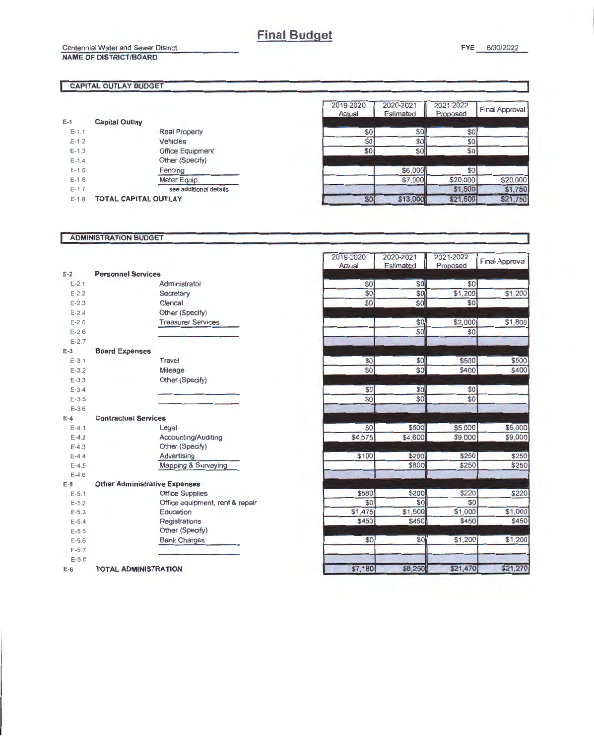Centennial Water and Sewer District

#### **CAPITAL OUTLAY BUDGET**

**NAME OF DISTRICT/BOARD** 

| $E-1$     | <b>Capital Outlay</b>       |                         |
|-----------|-----------------------------|-------------------------|
| $E - 1.1$ |                             | <b>Real Property</b>    |
| $E-12$    |                             | Vehicles                |
| $E-1.3$   |                             | <b>Office Equipment</b> |
| $E-1.4$   |                             | Other (Specify)         |
| $E - 1.5$ |                             | Fencing                 |
| $E - 1.6$ |                             | Meter Equip.            |
| $E - 1.7$ |                             | see additional details  |
| $E-1.8$   | <b>TOTAL CAPITAL OUTLAY</b> |                         |

| 2019-2020<br>Actual | 2020-2021<br><b>Estimated</b> | 2021-2022<br>Proposed | <b>Final Approval</b> |
|---------------------|-------------------------------|-----------------------|-----------------------|
| \$0                 | \$0                           | \$0                   |                       |
| \$0                 | \$0                           | \$0                   |                       |
| \$0                 | \$0                           | \$0                   |                       |
|                     |                               |                       |                       |
|                     | \$6,000                       | \$0                   |                       |
|                     | \$7,000                       | \$20,000              | \$20,000              |
|                     |                               | \$1,500               | \$1.750               |
| \$0                 |                               | \$21,500              | \$21,750              |

#### **ADMINISTRATION BUDGET**

| $E-2$     | <b>Personnel Services</b>            |                                 |
|-----------|--------------------------------------|---------------------------------|
| $E - 2.1$ |                                      | Administrator                   |
| $E - 22$  |                                      | Secretary                       |
| $E - 2.3$ |                                      | Clerical                        |
| $E - 2.4$ |                                      | Other (Specify)                 |
| $E - 2.5$ |                                      | <b>Treasurer Services</b>       |
| $E - 2.6$ |                                      |                                 |
| $E - 2.7$ |                                      |                                 |
| $E-3$     | <b>Board Expenses</b>                |                                 |
| $E - 3.1$ |                                      | Travel                          |
| $E - 3.2$ |                                      | Mileage                         |
| $E-3.3$   |                                      | Other (Specify)                 |
| $E - 3.4$ |                                      |                                 |
| $E - 3.5$ |                                      |                                 |
| $E - 3.6$ |                                      |                                 |
| $E-4$     | <b>Contractual Services</b>          |                                 |
| $E - 4.1$ |                                      | Legal                           |
| $E-4.2$   |                                      | Accounting/Auditing             |
| $F-4.3$   |                                      | Other (Specify)                 |
| $E - 4.4$ |                                      | Advertising                     |
| $E - 4.5$ |                                      | Mapping & Surveying             |
| $E - 4.6$ |                                      |                                 |
| $E-5$     | <b>Other Administrative Expenses</b> |                                 |
| $E-5.1$   |                                      | <b>Office Supplies</b>          |
| $E - 5.2$ |                                      | Office equipment, rent & repair |
| $E - 5.3$ |                                      | Education                       |
| $E - 5.4$ |                                      | Registrations                   |
| $E-5.5$   |                                      | Other (Specify)                 |
| $E - 5.6$ |                                      | <b>Bank Charges</b>             |
| $E - 5.7$ |                                      |                                 |
| $E - 5.8$ |                                      |                                 |
| $E-6$     | <b>TOTAL ADMINISTRATION</b>          |                                 |

| 2019-2020    | 2020-2021        | 2021-2022    | <b>Final Approval</b> |
|--------------|------------------|--------------|-----------------------|
| Actual       | <b>Estimated</b> | Proposed     |                       |
| \$0          |                  | \$0          |                       |
| \$0          | \$0<br>\$0       | \$1,200      | \$1,200               |
| \$0          | \$0              | \$0          |                       |
|              |                  |              |                       |
|              | \$0              | \$2,000      | \$1,800               |
|              | \$0              | \$0          |                       |
|              |                  |              |                       |
|              |                  |              |                       |
| \$0          | \$0]             | \$500        | \$500                 |
| \$0          | \$0              | \$400        | \$400                 |
|              |                  |              |                       |
| \$0          | \$0              | \$0          |                       |
| \$0          | \$0              | \$0          |                       |
|              |                  |              |                       |
|              |                  |              |                       |
| \$0          | \$500            | \$5,000      | \$5,000               |
| \$4,575      | \$4,600          | \$9,000      | \$9,000               |
|              |                  |              |                       |
| \$100        | \$200            | \$250        | \$250                 |
|              | \$800            | \$250        | \$250                 |
|              |                  |              |                       |
|              |                  |              |                       |
| \$580<br>\$0 | \$200<br>\$0     | \$220<br>\$0 | \$220                 |
| \$1,475      | \$1,500          | \$1,000      | \$1,000               |
| \$450        | \$450            | \$450        | \$450                 |
|              |                  |              |                       |
| \$0          | \$0              | \$1,200      | \$1,200               |
|              |                  |              |                       |
|              |                  |              |                       |
| \$7,180      | \$8,250          | \$21,470     | \$21,270              |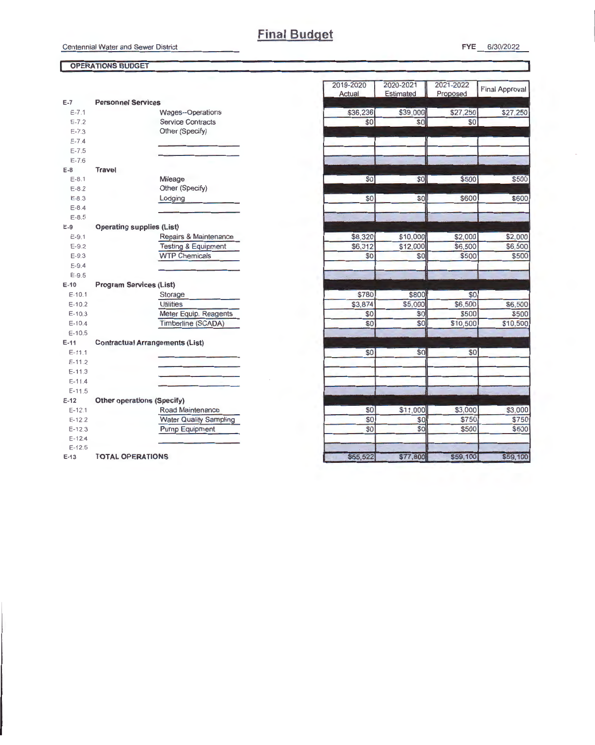#### **OPERATIONS BUDGET**

| $E-7$                  | <b>Personnel Services</b>              |
|------------------------|----------------------------------------|
| $E - 7.1$              | <b>Wages--Operations</b>               |
| $E - 7.2$              | <b>Service Contracts</b>               |
| $E - 7.3$              | Other (Specify)                        |
| $E - 7.4$              |                                        |
| $E - 7.5$              |                                        |
| $E - 7.6$              |                                        |
| E-8                    | <b>Travel</b>                          |
| $E-8.1$                | Mileage                                |
| $E-8.2$                | Other (Specify)                        |
| $E - 8.3$              | Lodging                                |
| $E - 8.4$              |                                        |
| $E-8.5$                |                                        |
| $E-9$                  | <b>Operating supplies (List)</b>       |
| $E - 9.1$              | Repairs & Maintenance                  |
| $E-9.2$                | <b>Testing &amp; Equipment</b>         |
| $E-9.3$                | <b>WTP Chemicals</b>                   |
| $E-9.4$                |                                        |
| $E-9.5$                |                                        |
|                        |                                        |
| $E - 10$               | <b>Program Services (List)</b>         |
| $E-10.1$               |                                        |
| $E-10.2$               | Storage<br><b>Utilities</b>            |
| $E-10.3$               |                                        |
| $E-10.4$               | Meter Equip. Reagents                  |
| $E - 10.5$             | Timberline (SCADA)                     |
| $E-11$                 |                                        |
| $E-11.1$               | <b>Contractual Arrangements (List)</b> |
| $E-11.2$               |                                        |
| $E-11.3$               |                                        |
| $E-11.4$               |                                        |
|                        |                                        |
| $E-11.5$<br>$E-12$     |                                        |
| $E-12.1$               | <b>Other operations (Specify)</b>      |
|                        | Road Maintenance                       |
| $E - 12.2$             | <b>Water Quality Sampling</b>          |
| $E-12.3$<br>$E - 12.4$ | <b>Pump Equipment</b>                  |
| $E-12.5$               |                                        |

| 2019-2020 | 2020-2021 | 2021-2022 | <b>Final Approval</b> |
|-----------|-----------|-----------|-----------------------|
| Actual    | Estimated | Proposed  |                       |
|           |           |           |                       |
| \$36,236  | \$39,000  | \$27,250  | \$27,250              |
| \$0       | \$0       | \$0       |                       |
|           |           |           |                       |
|           |           |           |                       |
|           |           |           |                       |
|           |           |           |                       |
| \$0       | \$0       | \$500     | \$500                 |
|           |           |           |                       |
| \$0       | \$0       | \$600     | \$600                 |
|           |           |           |                       |
|           |           |           |                       |
|           |           |           |                       |
| \$8,320   | \$10,000  | \$2,000   | \$2,000               |
| \$6,312   | \$12,000  | \$6,500   | \$6,500               |
| \$0       | \$0       | \$500     | \$500                 |
|           |           |           |                       |
|           |           |           |                       |
|           |           |           |                       |
| \$780     | \$800     | \$0       |                       |
| \$3,874   | \$5,000   | \$6,500   | \$6,500               |
| \$0       | \$0       | \$500     | \$500                 |
| \$0       | \$0       | \$10,500  | \$10,500              |
|           |           |           |                       |
| \$0       | \$0       | \$0       |                       |
|           |           |           |                       |
|           |           |           |                       |
|           |           |           |                       |
|           |           |           |                       |
|           |           |           |                       |
| \$0       | \$11,000  | \$3,000   | \$3,000               |
| \$0       | \$0       | \$750     | \$750                 |
| \$0       | \$0       | \$500     | \$500                 |
|           |           |           |                       |
|           |           |           |                       |
| \$55,522  | \$77,800  | \$59,100  | \$59,100              |

FYE 6/30/2022

٦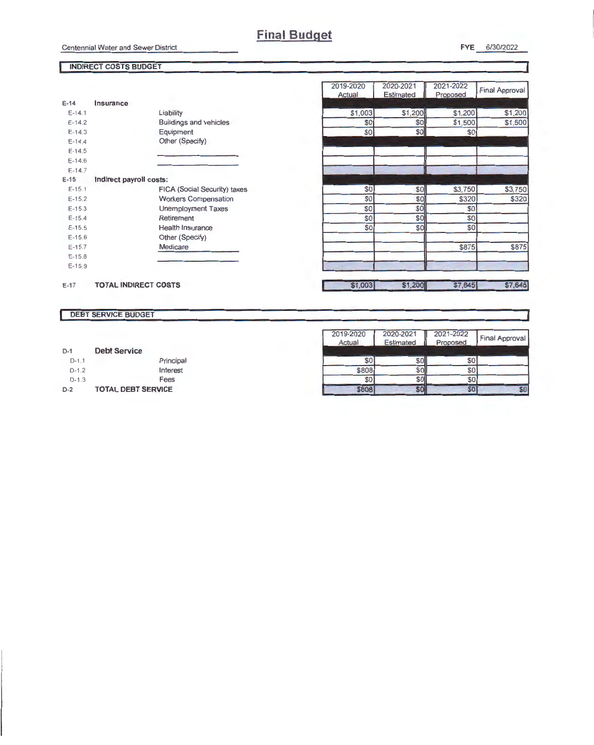2019-2020 2020-2021

**Final Approval** 

 $$1,200$ <br> $$1,500$ 

\$3,750

\$320

\$875

#### INDIRECT COSTS BUDGET

|  | 6/30/2022 |  |
|--|-----------|--|
|  |           |  |

2021-2022

 $$1,200$ \$1,500  $$0$ 

\$3,750

\$320

 $$0$  $\frac{10}{20}$  $$0$ \$875

\$7,645 \$7,645

|          |                               | Actual  | <b>Estimated</b> | Proposed |
|----------|-------------------------------|---------|------------------|----------|
| $E-14$   | Insurance                     |         |                  |          |
| $E-14.1$ | Liability                     | \$1,003 | \$1,200          | \$1,2    |
| $E-14.2$ | <b>Buildings and vehicles</b> | \$0     | \$0              | \$1,5    |
| $E-14.3$ | Equipment                     | \$0     | \$0              |          |
| $E-14.4$ | Other (Specify)               |         |                  |          |
| $E-14.5$ |                               |         |                  |          |
| $E-14.6$ |                               |         |                  |          |
| $E-14.7$ |                               |         |                  |          |
| $E-15$   | Indirect payroll costs:       |         |                  |          |
| $E-15.1$ | FICA (Social Security) taxes  | \$0     | \$0              | \$3,7    |
| $E-15.2$ | <b>Workers Compensation</b>   | \$0     | \$0              | \$3      |
| $E-15.3$ | <b>Unemployment Taxes</b>     | \$0     | \$0              |          |
| $E-15.4$ | Retirement                    | \$0     | \$0              |          |
| $E-15.5$ | <b>Health Insurance</b>       | \$0     | \$0              |          |
| $E-15.6$ | Other (Specify)               |         |                  |          |
| $E-15.7$ | Medicare                      |         |                  | \$8      |
| $E-15.8$ |                               |         |                  |          |
| $E-15.9$ |                               |         |                  |          |
| $E - 17$ | <b>TOTAL INDIRECT COSTS</b>   | \$1,003 | \$1,200          | \$7,6    |

#### DEBT SERVICE BUDGET

|  | $D-1$ |  | <b>Debt Service</b> |  |
|--|-------|--|---------------------|--|
|--|-------|--|---------------------|--|

| $D-2$   | <b>TOTAL DEBT SERVICE</b> |
|---------|---------------------------|
| $D-1.3$ | Fees                      |
| $D-1.2$ | Interest                  |
| $D-1.1$ | Principal                 |

| 2019-2020<br>Actual | 2020-2021<br><b>Estimated</b> | 2021-2022<br>Proposed | Final Approval |
|---------------------|-------------------------------|-----------------------|----------------|
| \$0                 | 80                            | \$0                   |                |
| \$808               |                               | \$0                   |                |
| \$0                 |                               | \$0                   |                |
| 808                 |                               | \$0                   |                |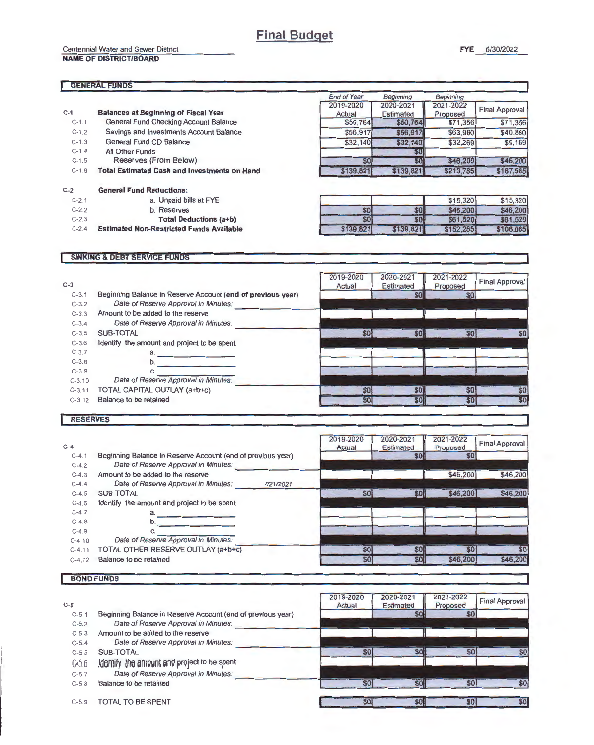Centennial Water and Sewer District

#### NAME OF DISTRICT/BOARD

#### **GENERAL FUNDS**

|           |                                                                  | <b>End of Year</b> | Beginning | Beginning |                       |
|-----------|------------------------------------------------------------------|--------------------|-----------|-----------|-----------------------|
|           |                                                                  | 2019-2020          | 2020-2021 | 2021-2022 | <b>Final Approval</b> |
| $C-1$     | <b>Balances at Beginning of Fiscal Year</b>                      | Actual             | Estimated | Proposed  |                       |
| $C-1.1$   | General Fund Checking Account Balance                            | \$50,764           | \$50,764  | \$71,356  | \$71,356              |
| $C-1.2$   | Savings and Investments Account Balance                          | \$56,917           | \$56,917  | \$63,960  | \$40,860              |
| $C - 1.3$ | General Fund CD Balance                                          | \$32.140           | \$32,140  | \$32,269  | \$9,169               |
| $C-1.4$   | All Other Funds                                                  |                    | \$0       |           |                       |
| $C-1.5$   | Reserves (From Below)                                            | \$0                | 80        | \$46,200  | \$46,200              |
| $C-1.6$   | <b>Total Estimated Cash and Investments on Hand</b><br>\$139,821 |                    | \$139,821 | \$213,785 | \$167,585             |
| $C-2$     | <b>General Fund Reductions:</b>                                  |                    |           |           |                       |
| $C-2.1$   | a. Unpaid bills at FYE                                           |                    |           | \$15,320  | \$15,320              |
| $C-2.2$   | b. Reserves                                                      | \$0                | \$0       | \$46,200  | \$46,200              |
| $C - 2.3$ | <b>Total Deductions (a+b)</b>                                    | \$0                | \$0       | \$61,520  | \$61,520              |
| $C-2.4$   | <b>Estimated Non-Restricted Funds Available</b>                  | \$139,821          | \$139,821 | \$152,265 | \$106,065             |

#### **SINKING & DEBT SERVICE FUNDS**

| $C-3$     |                                                             | 2019-2020<br>Actual | 2020-2021<br><b>Estimated</b> | 2021-2022<br>Proposed | <b>Final Approval</b> |
|-----------|-------------------------------------------------------------|---------------------|-------------------------------|-----------------------|-----------------------|
| $C-3.1$   | Beginning Balance in Reserve Account (end of previous year) |                     | \$0                           | \$0                   |                       |
| $C-3.2$   | Date of Reserve Approval in Minutes:                        |                     |                               |                       |                       |
| $C-3.3$   | Amount to be added to the reserve                           |                     |                               |                       |                       |
| $C-3.4$   | Date of Reserve Approval in Minutes:                        |                     |                               |                       |                       |
| $C-3.5$   | SUB-TOTAL                                                   | \$0                 | \$0                           | \$0                   | \$0                   |
| $C-3.6$   | Identify the amount and project to be spent                 |                     |                               |                       |                       |
| $C - 3.7$ | a.                                                          |                     |                               |                       |                       |
| $C-3.8$   | b.                                                          |                     |                               |                       |                       |
| $C-3.9$   | C.                                                          |                     |                               |                       |                       |
| $C-3.10$  | Date of Reserve Approval in Minutes:                        |                     |                               |                       |                       |
| $C-3.11$  | TOTAL CAPITAL OUTLAY (a+b+c)                                | \$0                 | \$0                           | \$0                   | \$0                   |
| $C-3.12$  | Balance to be retained                                      | \$0                 | \$0                           | \$0                   | \$0                   |

#### RESERVES

| $C-4$     |                                                             |           | 2019-2020<br>Actual | 2020-2021<br><b>Estimated</b> | 2021-2022<br>Proposed | <b>Final Approval</b> |
|-----------|-------------------------------------------------------------|-----------|---------------------|-------------------------------|-----------------------|-----------------------|
| $C-4.1$   | Beginning Balance in Reserve Account (end of previous year) |           |                     | <b>SOI</b>                    | \$0                   |                       |
| $C - 4.2$ | Date of Reserve Approval in Minutes:                        |           |                     |                               |                       |                       |
| $C-4.3$   | Amount to be added to the reserve                           |           |                     |                               | \$46,200              | \$46,200              |
| $C-4.4$   | Date of Reserve Approval in Minutes:                        | 7/21/2021 |                     |                               |                       |                       |
| $C-4.5$   | SUB-TOTAL                                                   |           | \$0                 | \$0                           | \$46,200              | \$46,200              |
| $C-4.6$   | Identify the amount and project to be spent                 |           |                     |                               |                       |                       |
| $C-4.7$   | a.                                                          |           |                     |                               |                       |                       |
| $C-4.8$   | b.                                                          |           |                     |                               |                       |                       |
| $C-4.9$   |                                                             |           |                     |                               |                       |                       |
| $C-4.10$  | Date of Reserve Approval in Minutes:                        |           |                     |                               |                       |                       |
| $C-4.11$  | TOTAL OTHER RESERVE OUTLAY (a+b+c)                          |           | \$0                 | \$0                           | \$0                   | \$0                   |
| $C-4, 12$ | Balance to be retained                                      |           | \$0]                | \$0                           | <b>\$46,200</b>       | \$46,200              |

#### BOND FUNDS

| $C-5$            |                                                             | 2019-2020<br>Actual | 2020-202<br><b>Estimated</b> | 2021-2022<br>Proposed | <b>Final Approval</b> |
|------------------|-------------------------------------------------------------|---------------------|------------------------------|-----------------------|-----------------------|
| $C-5.1$          | Beginning Balance in Reserve Account (end of previous year) |                     | \$0                          | \$0 <sub>1</sub>      |                       |
| $C-5.2$          | Date of Reserve Approval in Minutes:                        |                     |                              |                       |                       |
| $C-5.3$          | Amount to be added to the reserve                           |                     |                              |                       |                       |
| $C-5.4$          | Date of Reserve Approval in Minutes:                        |                     |                              |                       |                       |
| $C - 5.5$        | SUB-TOTAL                                                   | <b>SO</b>           | \$0                          | <b>SO</b>             | SO                    |
| G <sub>5.6</sub> | identify the amount and project to be spent                 |                     |                              |                       |                       |
| $C-5.7$          | Date of Reserve Approval in Minutes:                        |                     |                              |                       |                       |
| $C - 5.8$        | Balance to be retained                                      | <b>SO</b>           | <b>SOI</b>                   | <b>S01</b>            | \$0                   |
| $C-5.9$          | TOTAL TO BE SPENT                                           | \$0                 | <b>SOH</b>                   | \$0                   | <b>SO</b>             |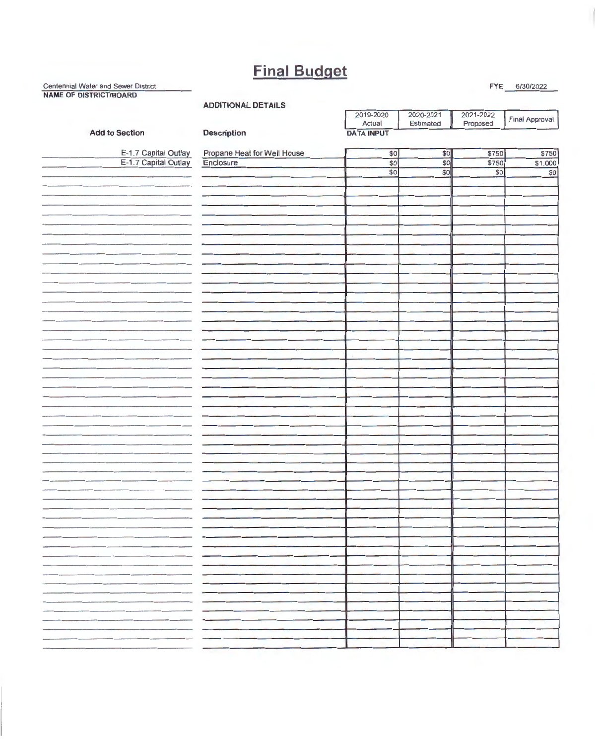# **Final Budget**

#### Centennial Water and Sewer District Figure Figure Figure Figure 1. The Content of the Content of the Content of the Content of the Content of the Content of the Content of the Content of the Content of the Content of the C NAME OF DISTRICT/BOARD

ADDITIONAL DETAILS

|                                                                                                                                                                                                                                      | <b>UNDITIONAL PLINICS</b>                | 2019-2020         | 2020-2021 | 2021-2022 | Final Approval  |
|--------------------------------------------------------------------------------------------------------------------------------------------------------------------------------------------------------------------------------------|------------------------------------------|-------------------|-----------|-----------|-----------------|
|                                                                                                                                                                                                                                      |                                          | Actual            | Estimated | Proposed  |                 |
| <b>Add to Section</b>                                                                                                                                                                                                                | Description                              | <b>DATA INPUT</b> |           |           |                 |
|                                                                                                                                                                                                                                      |                                          | \$0               | \$0       | \$750     | \$750           |
| E-1.7 Capital Outlay<br>E-1.7 Capital Outlay                                                                                                                                                                                         | Propane Heat for Well House<br>Enclosure | $\overline{30}$   | \$0       | \$750     | \$1,000         |
|                                                                                                                                                                                                                                      |                                          | \$0               | \$0       | \$0       | $\overline{30}$ |
|                                                                                                                                                                                                                                      |                                          |                   |           |           |                 |
|                                                                                                                                                                                                                                      |                                          |                   |           |           |                 |
|                                                                                                                                                                                                                                      |                                          |                   |           |           |                 |
|                                                                                                                                                                                                                                      |                                          |                   |           |           |                 |
|                                                                                                                                                                                                                                      |                                          |                   |           |           |                 |
|                                                                                                                                                                                                                                      |                                          |                   |           |           |                 |
|                                                                                                                                                                                                                                      |                                          |                   |           |           |                 |
|                                                                                                                                                                                                                                      |                                          |                   |           |           |                 |
|                                                                                                                                                                                                                                      |                                          |                   |           |           |                 |
|                                                                                                                                                                                                                                      |                                          |                   |           |           |                 |
|                                                                                                                                                                                                                                      |                                          |                   |           |           |                 |
|                                                                                                                                                                                                                                      |                                          |                   |           |           |                 |
|                                                                                                                                                                                                                                      |                                          |                   |           |           |                 |
|                                                                                                                                                                                                                                      |                                          |                   |           |           |                 |
|                                                                                                                                                                                                                                      |                                          |                   |           |           |                 |
|                                                                                                                                                                                                                                      |                                          |                   |           |           |                 |
|                                                                                                                                                                                                                                      |                                          |                   |           |           |                 |
|                                                                                                                                                                                                                                      |                                          |                   |           |           |                 |
|                                                                                                                                                                                                                                      |                                          |                   |           |           |                 |
|                                                                                                                                                                                                                                      |                                          |                   |           |           |                 |
|                                                                                                                                                                                                                                      |                                          |                   |           |           |                 |
|                                                                                                                                                                                                                                      |                                          |                   |           |           |                 |
|                                                                                                                                                                                                                                      |                                          |                   |           |           |                 |
|                                                                                                                                                                                                                                      |                                          |                   |           |           |                 |
|                                                                                                                                                                                                                                      |                                          |                   |           |           |                 |
|                                                                                                                                                                                                                                      |                                          |                   |           |           |                 |
|                                                                                                                                                                                                                                      |                                          |                   |           |           |                 |
|                                                                                                                                                                                                                                      |                                          |                   |           |           |                 |
|                                                                                                                                                                                                                                      |                                          |                   |           |           |                 |
|                                                                                                                                                                                                                                      |                                          |                   |           |           |                 |
|                                                                                                                                                                                                                                      |                                          |                   |           |           |                 |
|                                                                                                                                                                                                                                      |                                          |                   |           |           |                 |
|                                                                                                                                                                                                                                      |                                          |                   |           |           |                 |
|                                                                                                                                                                                                                                      |                                          |                   |           |           |                 |
|                                                                                                                                                                                                                                      |                                          |                   |           |           |                 |
|                                                                                                                                                                                                                                      |                                          |                   |           |           |                 |
|                                                                                                                                                                                                                                      |                                          |                   |           |           |                 |
|                                                                                                                                                                                                                                      |                                          |                   |           |           |                 |
|                                                                                                                                                                                                                                      |                                          |                   |           |           |                 |
|                                                                                                                                                                                                                                      | ---                                      |                   |           |           |                 |
| <u>in the contract of the contract of the contract of the contract of the contract of the contract of the contract of the contract of the contract of the contract of the contract of the contract of the contract of the contra</u> |                                          |                   |           |           |                 |
|                                                                                                                                                                                                                                      | --                                       |                   |           |           |                 |
|                                                                                                                                                                                                                                      |                                          |                   |           |           |                 |
|                                                                                                                                                                                                                                      | - -                                      |                   |           |           |                 |
| ____                                                                                                                                                                                                                                 |                                          |                   |           |           |                 |
|                                                                                                                                                                                                                                      | __                                       |                   |           |           |                 |
| ________                                                                                                                                                                                                                             |                                          |                   |           |           |                 |
|                                                                                                                                                                                                                                      |                                          |                   |           |           |                 |
|                                                                                                                                                                                                                                      | - -                                      |                   |           |           |                 |
|                                                                                                                                                                                                                                      |                                          |                   |           |           |                 |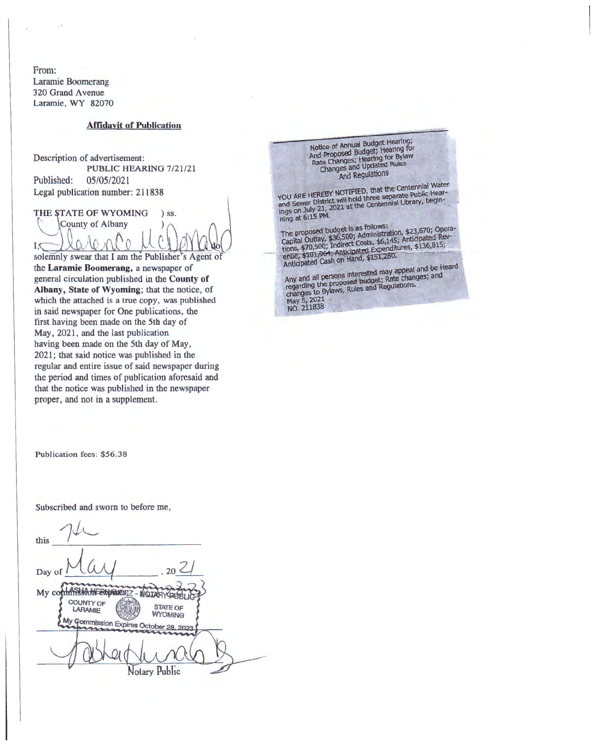From: Laramie Boomerang 320 Grand Avenue Laramie, WY 82070

#### **Affidayit of Publication**

Description of advertisement: PUBLIC HEARING 7/21/21 Published: 05/05/2021 Legal publication number: 211838

THE STATE OF WYOMING  $)$  ss.

County of Albany  $I_{\mathcal{S}}$ solemnly swear that I am the Publisher's Agent of

the Laramie Boomerang, a newspaper of general circulation published in the County of Albany, State of Wyoming; that the notice, of which the attached is a true copy, was published in said newspaper for One publications, the first having been made on the 5th day of May, 2021, and the last publication having been made on the 5th day of May, 2021; that said notice was published in the regular and entire issue of said newspaper during the period and times of publication aforesaid and that the notice was published in the newspaper proper, and not in a supplement.

Notice of Annual Budget Hearing; Nouce of Annual Budget Hearing;<br>And Proposed Budget; Hearing for<br>Rate Changes; Hearing for Bylaw<br>Changes and Updated Rules And Regulations

YOU ARE HEREBY NOTIFIED, that the Centennial Water<br>and Sewer District will hold three separate Public Hear-<br>ings on July 21, 2021 at the Centennial Library, begin-<br>ning at 6:15 PM.

The proposed budget is as follows:<br>Capital Outlay, \$36,500; Administration, \$23,670; Opera-<br>Capital Outlay, \$36,500; Administration, \$23,670; Opera-<br>tions, \$70,500; Indirect Costs, \$6,145; Anticipated February<br>anticipated

Any and all persons interested may appeal and be Heard<br>regarding the proposed budget; Rate changes; and<br>changes to Bylaws, Rules and Regulations.<br>May 5, 2021<br>NO. 211838

Publication fees: \$56.38

Subscribed and sworn to before me,

| this                                                             |
|------------------------------------------------------------------|
|                                                                  |
| 20<br>Day of                                                     |
| My co<br>EXPIRES - NOTAH                                         |
| COUNTY OF<br><b>STATE OF</b><br><b>LARAMIE</b><br><b>WYOMING</b> |
| My Commission Expires October 28, 2023                           |
|                                                                  |
| otary Public                                                     |